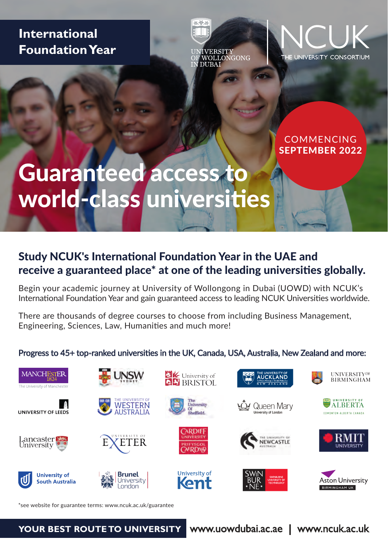# **International Foundation Year**

IVERSITY<br>WOLLONGONG **DUBAT** 

 $25.36.86$ 



COMMENCING SEPTEMBER 2022

# Guaranteed access to world-class universities

## Study NCUK's International Foundation Year in the UAE and receive a guaranteed place\* at one of the leading universities globally.

Begin your academic journey at University of Wollongong in Dubai (UOWD) with NCUK's International Foundation Year and gain guaranteed access to leading NCUK Universities worldwide.

There are thousands of degree courses to choose from including Business Management, Engineering, Sciences, Law, Humanities and much more!

#### Progress to 45+ top-ranked universities in the UK, Canada, USA, Australia, New Zealand and more:



\*see website for guarantee terms: www.ncuk.ac.uk/guarantee

#### **YOUR BEST ROUTE TO UNIVERSITY** www.uowdubai.ac.ae | www.ncuk.ac.uk